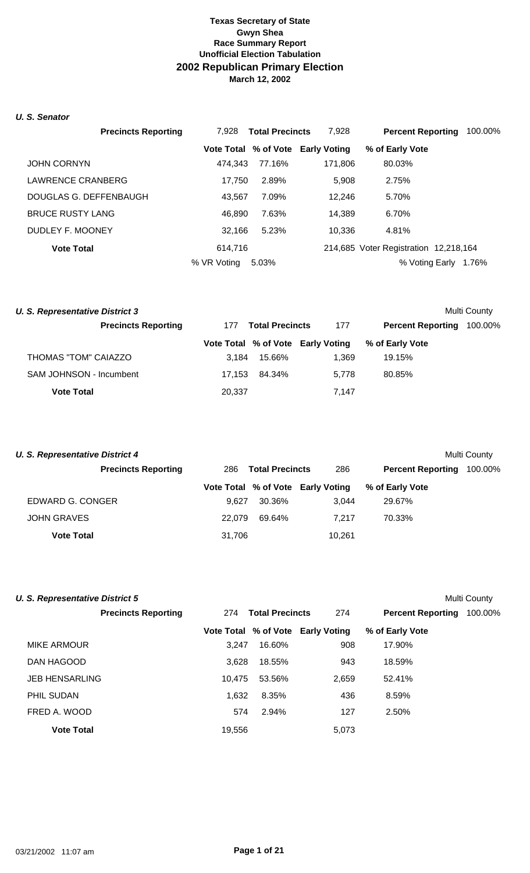#### *U. S. Senator*

| <b>Precincts Reporting</b> | 7.928       | <b>Total Precincts</b> | 7,928                             | <b>Percent Reporting</b>              | 100.00% |
|----------------------------|-------------|------------------------|-----------------------------------|---------------------------------------|---------|
|                            |             |                        | Vote Total % of Vote Early Voting | % of Early Vote                       |         |
| <b>JOHN CORNYN</b>         | 474.343     | 77.16%                 | 171,806                           | 80.03%                                |         |
| LAWRENCE CRANBERG          | 17.750      | 2.89%                  | 5,908                             | 2.75%                                 |         |
| DOUGLAS G. DEFFENBAUGH     | 43.567      | 7.09%                  | 12,246                            | 5.70%                                 |         |
| <b>BRUCE RUSTY LANG</b>    | 46.890      | 7.63%                  | 14,389                            | 6.70%                                 |         |
| DUDLEY F. MOONEY           | 32.166      | 5.23%                  | 10,336                            | 4.81%                                 |         |
| <b>Vote Total</b>          | 614.716     |                        |                                   | 214,685 Voter Registration 12,218,164 |         |
|                            | % VR Voting | 5.03%                  |                                   | % Voting Early                        | 1.76%   |

| <b>U. S. Representative District 3</b> |        |                        |                                   |                          | Multi County |
|----------------------------------------|--------|------------------------|-----------------------------------|--------------------------|--------------|
| <b>Precincts Reporting</b>             | 177    | <b>Total Precincts</b> | 177                               | <b>Percent Reporting</b> | 100.00%      |
|                                        |        |                        | Vote Total % of Vote Early Voting | % of Early Vote          |              |
| THOMAS "TOM" CAIAZZO                   | 3.184  | 15.66%                 | 1.369                             | 19.15%                   |              |
| SAM JOHNSON - Incumbent                | 17.153 | 84.34%                 | 5.778                             | 80.85%                   |              |
| <b>Vote Total</b>                      | 20,337 |                        | 7.147                             |                          |              |

| U. S. Representative District 4 |        |                        |                                   |                          | Multi County |
|---------------------------------|--------|------------------------|-----------------------------------|--------------------------|--------------|
| <b>Precincts Reporting</b>      | 286    | <b>Total Precincts</b> | 286                               | <b>Percent Reporting</b> | 100.00%      |
|                                 |        |                        | Vote Total % of Vote Early Voting | % of Early Vote          |              |
| EDWARD G. CONGER                | 9.627  | 30.36%                 | 3.044                             | 29.67%                   |              |
| <b>JOHN GRAVES</b>              | 22,079 | 69.64%                 | 7.217                             | 70.33%                   |              |
| <b>Vote Total</b>               | 31,706 |                        | 10,261                            |                          |              |

| <b>U. S. Representative District 5</b> |        |                        |                                   |                          | Multi County |
|----------------------------------------|--------|------------------------|-----------------------------------|--------------------------|--------------|
| <b>Precincts Reporting</b>             | 274    | <b>Total Precincts</b> | 274                               | <b>Percent Reporting</b> | 100.00%      |
|                                        |        |                        | Vote Total % of Vote Early Voting | % of Early Vote          |              |
| MIKE ARMOUR                            | 3.247  | 16.60%                 | 908                               | 17.90%                   |              |
| DAN HAGOOD                             | 3.628  | 18.55%                 | 943                               | 18.59%                   |              |
| <b>JEB HENSARLING</b>                  | 10.475 | 53.56%                 | 2,659                             | 52.41%                   |              |
| <b>PHIL SUDAN</b>                      | 1.632  | 8.35%                  | 436                               | 8.59%                    |              |
| FRED A. WOOD                           | 574    | 2.94%                  | 127                               | 2.50%                    |              |
| <b>Vote Total</b>                      | 19,556 |                        | 5,073                             |                          |              |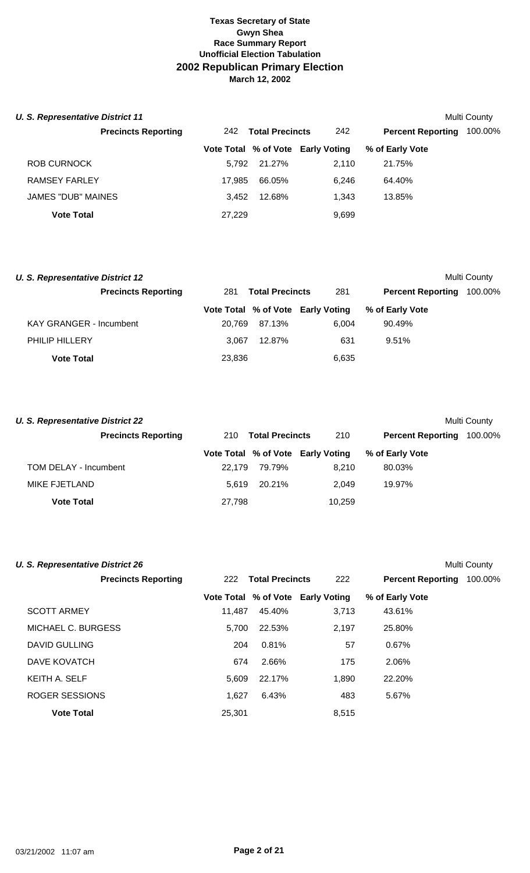| <b>U. S. Representative District 11</b> |        |                        |                                   |                          | Multi County |
|-----------------------------------------|--------|------------------------|-----------------------------------|--------------------------|--------------|
| <b>Precincts Reporting</b>              | 242    | <b>Total Precincts</b> | 242                               | <b>Percent Reporting</b> | 100.00%      |
|                                         |        |                        | Vote Total % of Vote Early Voting | % of Early Vote          |              |
| ROB CURNOCK                             | 5.792  | 21.27%                 | 2.110                             | 21.75%                   |              |
| RAMSEY FARLEY                           | 17.985 | 66.05%                 | 6.246                             | 64.40%                   |              |
| JAMES "DUB" MAINES                      | 3.452  | 12.68%                 | 1.343                             | 13.85%                   |              |
| <b>Vote Total</b>                       | 27.229 |                        | 9,699                             |                          |              |

| U. S. Representative District 12 |                            |        |                        |                                   |                          | Multi County |
|----------------------------------|----------------------------|--------|------------------------|-----------------------------------|--------------------------|--------------|
|                                  | <b>Precincts Reporting</b> | 281    | <b>Total Precincts</b> | 281                               | <b>Percent Reporting</b> | 100.00%      |
|                                  |                            |        |                        | Vote Total % of Vote Early Voting | % of Early Vote          |              |
| <b>KAY GRANGER - Incumbent</b>   |                            | 20.769 | 87.13%                 | 6.004                             | 90.49%                   |              |
| PHILIP HILLERY                   |                            | 3.067  | 12.87%                 | 631                               | $9.51\%$                 |              |
| <b>Vote Total</b>                |                            | 23,836 |                        | 6,635                             |                          |              |

| <b>U. S. Representative District 22</b> |        |                        |                                   |                          | Multi County |
|-----------------------------------------|--------|------------------------|-----------------------------------|--------------------------|--------------|
| <b>Precincts Reporting</b>              | 210    | <b>Total Precincts</b> | 210                               | <b>Percent Reporting</b> | 100.00%      |
|                                         |        |                        | Vote Total % of Vote Early Voting | % of Early Vote          |              |
| TOM DELAY - Incumbent                   | 22.179 | 79.79%                 | 8.210                             | 80.03%                   |              |
| <b>MIKE FJETLAND</b>                    | 5.619  | 20.21%                 | 2.049                             | 19.97%                   |              |
| <b>Vote Total</b>                       | 27,798 |                        | 10,259                            |                          |              |

| <b>U. S. Representative District 26</b> |        |                        |                                   |                          | <b>Multi County</b> |
|-----------------------------------------|--------|------------------------|-----------------------------------|--------------------------|---------------------|
| <b>Precincts Reporting</b>              | 222    | <b>Total Precincts</b> | 222                               | <b>Percent Reporting</b> | 100.00%             |
|                                         |        |                        | Vote Total % of Vote Early Voting | % of Early Vote          |                     |
| <b>SCOTT ARMEY</b>                      | 11.487 | 45.40%                 | 3,713                             | 43.61%                   |                     |
| MICHAEL C. BURGESS                      | 5.700  | 22.53%                 | 2.197                             | 25.80%                   |                     |
| DAVID GULLING                           | 204    | 0.81%                  | 57                                | $0.67\%$                 |                     |
| DAVE KOVATCH                            | 674    | 2.66%                  | 175                               | 2.06%                    |                     |
| KEITH A. SELF                           | 5,609  | 22.17%                 | 1,890                             | 22.20%                   |                     |
| ROGER SESSIONS                          | 1,627  | 6.43%                  | 483                               | 5.67%                    |                     |
| <b>Vote Total</b>                       | 25.301 |                        | 8,515                             |                          |                     |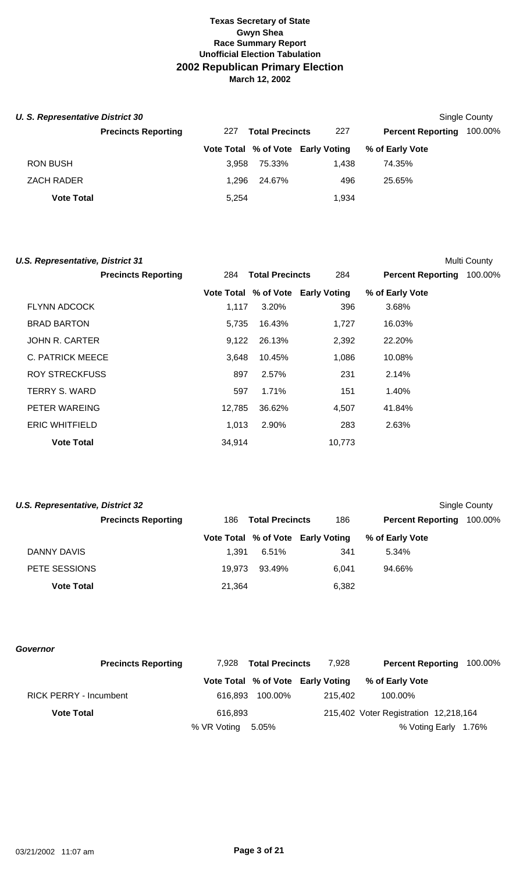| U. S. Representative District 30 |                            |       |                        |                                   |                          | Single County |
|----------------------------------|----------------------------|-------|------------------------|-----------------------------------|--------------------------|---------------|
|                                  | <b>Precincts Reporting</b> | 227   | <b>Total Precincts</b> | 227                               | <b>Percent Reporting</b> | 100.00%       |
|                                  |                            |       |                        | Vote Total % of Vote Early Voting | % of Early Vote          |               |
| <b>RON BUSH</b>                  |                            | 3.958 | 75.33%                 | 1.438                             | 74.35%                   |               |
| <b>ZACH RADER</b>                |                            | 1.296 | 24.67%                 | 496                               | 25.65%                   |               |
| <b>Vote Total</b>                |                            | 5,254 |                        | 1,934                             |                          |               |

| <b>U.S. Representative, District 31</b> |        |                        |                                   |                          | Multi County |
|-----------------------------------------|--------|------------------------|-----------------------------------|--------------------------|--------------|
| <b>Precincts Reporting</b>              | 284    | <b>Total Precincts</b> | 284                               | <b>Percent Reporting</b> | 100.00%      |
|                                         |        |                        | Vote Total % of Vote Early Voting | % of Early Vote          |              |
| <b>FLYNN ADCOCK</b>                     | 1,117  | 3.20%                  | 396                               | 3.68%                    |              |
| <b>BRAD BARTON</b>                      | 5,735  | 16.43%                 | 1,727                             | 16.03%                   |              |
| JOHN R. CARTER                          | 9,122  | 26.13%                 | 2,392                             | 22.20%                   |              |
| C. PATRICK MEECE                        | 3,648  | 10.45%                 | 1,086                             | 10.08%                   |              |
| <b>ROY STRECKFUSS</b>                   | 897    | 2.57%                  | 231                               | 2.14%                    |              |
| <b>TERRY S. WARD</b>                    | 597    | 1.71%                  | 151                               | 1.40%                    |              |
| PETER WAREING                           | 12,785 | 36.62%                 | 4,507                             | 41.84%                   |              |
| <b>ERIC WHITFIELD</b>                   | 1.013  | 2.90%                  | 283                               | 2.63%                    |              |
| <b>Vote Total</b>                       | 34,914 |                        | 10,773                            |                          |              |

| U.S. Representative, District 32 |                            |        |                        |                                   |                          | Single County |
|----------------------------------|----------------------------|--------|------------------------|-----------------------------------|--------------------------|---------------|
|                                  | <b>Precincts Reporting</b> | 186.   | <b>Total Precincts</b> | 186                               | <b>Percent Reporting</b> | 100.00%       |
|                                  |                            |        |                        | Vote Total % of Vote Early Voting | % of Early Vote          |               |
| DANNY DAVIS                      |                            | 1.391  | 6.51%                  | 341                               | 5.34%                    |               |
| PETE SESSIONS                    |                            | 19.973 | 93.49%                 | 6.041                             | 94.66%                   |               |
| <b>Vote Total</b>                |                            | 21,364 |                        | 6,382                             |                          |               |

*Governor*

| <b>Precincts Reporting</b>    | 7.928       | <b>Total Precincts</b> | 7.928                             | <b>Percent Reporting 100.00%</b>      |  |
|-------------------------------|-------------|------------------------|-----------------------------------|---------------------------------------|--|
|                               |             |                        | Vote Total % of Vote Early Voting | % of Early Vote                       |  |
| <b>RICK PERRY - Incumbent</b> | 616.893     | 100.00%                | 215.402                           | 100.00%                               |  |
| <b>Vote Total</b>             | 616,893     |                        |                                   | 215,402 Voter Registration 12,218,164 |  |
|                               | % VR Voting | 5.05%                  |                                   | % Voting Early 1.76%                  |  |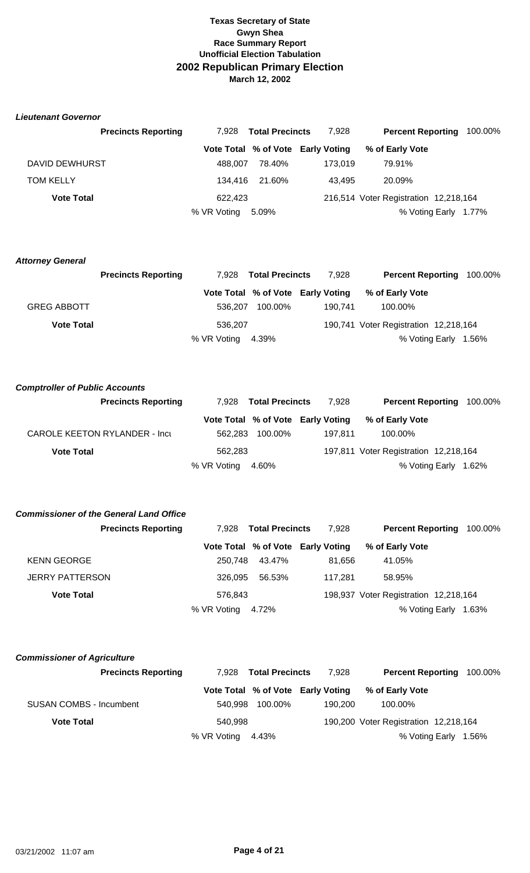#### *Lieutenant Governor*

|                   | <b>Precincts Reporting</b><br>7.928 | <b>Total Precincts</b>            | 7.928   | <b>Percent Reporting</b>              | 100.00% |
|-------------------|-------------------------------------|-----------------------------------|---------|---------------------------------------|---------|
|                   |                                     | Vote Total % of Vote Early Voting |         | % of Early Vote                       |         |
| DAVID DEWHURST    | 488.007                             | 78.40%                            | 173.019 | 79.91%                                |         |
| <b>TOM KELLY</b>  | 134.416                             | 21.60%                            | 43.495  | 20.09%                                |         |
| <b>Vote Total</b> | 622.423                             |                                   |         | 216,514 Voter Registration 12,218,164 |         |
|                   | % VR Voting                         | 5.09%                             |         | % Voting Early 1.77%                  |         |

#### *Attorney General*

|                    | <b>Precincts Reporting</b> |             | 7,928 Total Precincts |                                   |                                       | <b>Percent Reporting 100.00%</b> |
|--------------------|----------------------------|-------------|-----------------------|-----------------------------------|---------------------------------------|----------------------------------|
|                    |                            |             |                       | Vote Total % of Vote Early Voting | % of Early Vote                       |                                  |
| <b>GREG ABBOTT</b> |                            |             | 536.207 100.00%       | 190.741                           | 100.00%                               |                                  |
| <b>Vote Total</b>  |                            | 536.207     |                       |                                   | 190,741 Voter Registration 12,218,164 |                                  |
|                    |                            | % VR Voting | 4.39%                 |                                   |                                       | % Voting Early 1.56%             |

#### *Comptroller of Public Accounts*

| <b>Precincts Reporting</b>    |             | 7,928 Total Precincts | 7.928                             | <b>Percent Reporting</b>              | 100.00%              |
|-------------------------------|-------------|-----------------------|-----------------------------------|---------------------------------------|----------------------|
|                               |             |                       | Vote Total % of Vote Early Voting | % of Early Vote                       |                      |
| CAROLE KEETON RYLANDER - Incu | 562.283     | 100.00%               | 197.811                           | 100.00%                               |                      |
| <b>Vote Total</b>             | 562.283     |                       |                                   | 197,811 Voter Registration 12,218,164 |                      |
|                               | % VR Voting | 4.60%                 |                                   |                                       | % Voting Early 1.62% |

# *Commissioner of the General Land Office*

|                        | <b>Precincts Reporting</b> |             | 7.928 Total Precincts | 7.928                             | <b>Percent Reporting</b>              | 100.00% |
|------------------------|----------------------------|-------------|-----------------------|-----------------------------------|---------------------------------------|---------|
|                        |                            |             |                       | Vote Total % of Vote Early Voting | % of Early Vote                       |         |
| <b>KENN GEORGE</b>     |                            | 250.748     | 43.47%                | 81.656                            | 41.05%                                |         |
| <b>JERRY PATTERSON</b> |                            | 326.095     | 56.53%                | 117.281                           | 58.95%                                |         |
| <b>Vote Total</b>      |                            | 576.843     |                       |                                   | 198,937 Voter Registration 12,218,164 |         |
|                        |                            | % VR Voting | 4.72%                 |                                   | % Voting Early                        | 1.63%   |

#### *Commissioner of Agriculture*

|                                | <b>Precincts Reporting</b> |                   | 7,928 Total Precincts | 7.928                             | <b>Percent Reporting 100.00%</b>      |  |
|--------------------------------|----------------------------|-------------------|-----------------------|-----------------------------------|---------------------------------------|--|
|                                |                            |                   |                       | Vote Total % of Vote Early Voting | % of Early Vote                       |  |
| <b>SUSAN COMBS - Incumbent</b> |                            |                   | 540.998 100.00%       | 190.200                           | 100.00%                               |  |
| <b>Vote Total</b>              |                            | 540.998           |                       |                                   | 190,200 Voter Registration 12,218,164 |  |
|                                |                            | % VR Voting 4.43% |                       |                                   | % Voting Early 1.56%                  |  |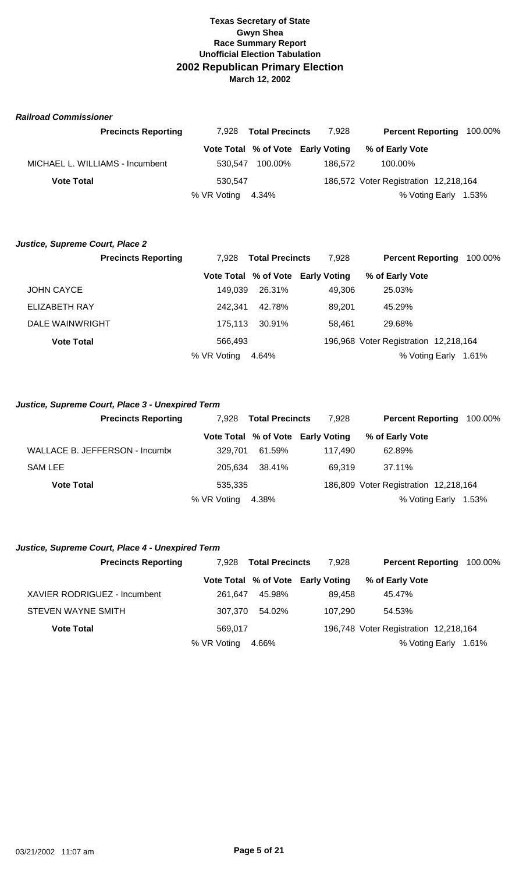#### *Railroad Commissioner*

| <b>Precincts Reporting</b>      | 7.928             | <b>Total Precincts</b> | 7.928                             | <b>Percent Reporting</b>              | 100.00% |
|---------------------------------|-------------------|------------------------|-----------------------------------|---------------------------------------|---------|
|                                 |                   |                        | Vote Total % of Vote Early Voting | % of Early Vote                       |         |
| MICHAEL L. WILLIAMS - Incumbent | 530.547           | 100.00%                | 186.572                           | 100.00%                               |         |
| <b>Vote Total</b>               | 530.547           |                        |                                   | 186,572 Voter Registration 12,218,164 |         |
|                                 | % VR Voting 4.34% |                        |                                   | % Voting Early                        | 1.53%   |

#### *Justice, Supreme Court, Place 2*

|                   | <b>Precincts Reporting</b> | 7.928       | <b>Total Precincts</b> | 7.928                             | <b>Percent Reporting</b>              | 100.00% |
|-------------------|----------------------------|-------------|------------------------|-----------------------------------|---------------------------------------|---------|
|                   |                            |             |                        | Vote Total % of Vote Early Voting | % of Early Vote                       |         |
| <b>JOHN CAYCE</b> |                            | 149.039     | 26.31%                 | 49.306                            | 25.03%                                |         |
| ELIZABETH RAY     |                            | 242.341     | 42.78%                 | 89.201                            | 45.29%                                |         |
| DALE WAINWRIGHT   |                            | 175.113     | 30.91%                 | 58.461                            | 29.68%                                |         |
| <b>Vote Total</b> |                            | 566.493     |                        |                                   | 196,968 Voter Registration 12,218,164 |         |
|                   |                            | % VR Voting | 4.64%                  |                                   | % Voting Early                        | 1.61%   |

#### *Justice, Supreme Court, Place 3 - Unexpired Term*

| <b>Precincts Reporting</b>     | 7.928             | <b>Total Precincts</b> | 7.928                             | <b>Percent Reporting</b>              | 100.00% |
|--------------------------------|-------------------|------------------------|-----------------------------------|---------------------------------------|---------|
|                                |                   |                        | Vote Total % of Vote Early Voting | % of Early Vote                       |         |
| WALLACE B. JEFFERSON - Incumbe | 329.701           | 61.59%                 | 117.490                           | 62.89%                                |         |
| <b>SAM LEE</b>                 | 205.634           | 38.41%                 | 69.319                            | 37.11%                                |         |
| <b>Vote Total</b>              | 535,335           |                        |                                   | 186,809 Voter Registration 12,218,164 |         |
|                                | % VR Voting 4.38% |                        |                                   | % Voting Early                        | 1.53%   |

# *Justice, Supreme Court, Place 4 - Unexpired Term*

| <b>Precincts Reporting</b>   | 7.928       | <b>Total Precincts</b> | 7.928                             | <b>Percent Reporting</b>              | 100.00% |
|------------------------------|-------------|------------------------|-----------------------------------|---------------------------------------|---------|
|                              |             |                        | Vote Total % of Vote Early Voting | % of Early Vote                       |         |
| XAVIER RODRIGUEZ - Incumbent | 261.647     | 45.98%                 | 89.458                            | 45.47%                                |         |
| <b>STEVEN WAYNE SMITH</b>    | 307.370     | 54.02%                 | 107.290                           | 54.53%                                |         |
| <b>Vote Total</b>            | 569.017     |                        |                                   | 196,748 Voter Registration 12,218,164 |         |
|                              | % VR Voting | 4.66%                  |                                   | % Voting Early                        | 1.61%   |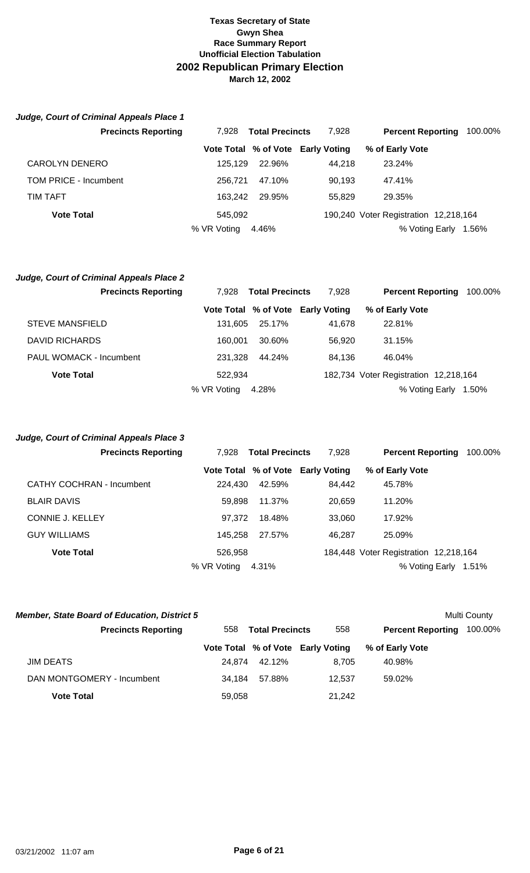| Judge, Court of Criminal Appeals Place 1 |                                 |        |                                   |                          |         |
|------------------------------------------|---------------------------------|--------|-----------------------------------|--------------------------|---------|
| <b>Precincts Reporting</b>               | <b>Total Precincts</b><br>7.928 |        | 7.928                             | <b>Percent Reporting</b> | 100.00% |
|                                          |                                 |        | Vote Total % of Vote Early Voting | % of Early Vote          |         |
| <b>CAROLYN DENERO</b>                    | 125.129                         | 22.96% | 44.218                            | 23.24%                   |         |
| TOM PRICE - Incumbent                    | 256.721                         | 47.10% | 90.193                            | 47.41%                   |         |
| TIM TAFT                                 | 163.242                         | 29.95% | 55.829                            | 29.35%                   |         |
|                                          |                                 |        |                                   |                          |         |

**Vote Total 12,218,164 190,240** Voter Registration 12,218,164 % VR Voting 4.46% % Voting Early 1.56%

# *Judge, Court of Criminal Appeals Place 2*

|                                | <b>Precincts Reporting</b> | 7.928       | <b>Total Precincts</b> | 7.928                             | <b>Percent Reporting</b>              | 100.00% |
|--------------------------------|----------------------------|-------------|------------------------|-----------------------------------|---------------------------------------|---------|
|                                |                            |             |                        | Vote Total % of Vote Early Voting | % of Early Vote                       |         |
| <b>STEVE MANSFIELD</b>         |                            | 131.605     | 25.17%                 | 41.678                            | 22.81%                                |         |
| <b>DAVID RICHARDS</b>          |                            | 160.001     | 30.60%                 | 56.920                            | 31.15%                                |         |
| <b>PAUL WOMACK - Incumbent</b> |                            | 231.328     | 44.24%                 | 84,136                            | 46.04%                                |         |
| <b>Vote Total</b>              |                            | 522.934     |                        |                                   | 182,734 Voter Registration 12,218,164 |         |
|                                |                            | % VR Voting | 4.28%                  |                                   | % Voting Early                        | 1.50%   |

# **Vote Total % of Vote Early Voting % of Early Vote**  CATHY COCHRAN - Incumbent 224,430 42.59% 84,442 45.78% BLAIR DAVIS 59,898 11.37% 20,659 11.20% CONNIE J. KELLEY 97,372 18.48% 33,060 17.92% GUY WILLIAMS **145,258** 27.57% 46,287 25.09% **Vote Total 12,218,164** 184,448 Voter Registration 12,218,164 % VR Voting 4.31% % Voting Early 1.51% *Judge, Court of Criminal Appeals Place 3* **Precincts Reporting** 7,928 **Total Precincts** 7,928 **Percent Reporting** 100.00%

| <b>Member, State Board of Education, District 5</b> |        |                        |                                   |                          | Multi County |
|-----------------------------------------------------|--------|------------------------|-----------------------------------|--------------------------|--------------|
| <b>Precincts Reporting</b>                          | 558    | <b>Total Precincts</b> | 558                               | <b>Percent Reporting</b> | 100.00%      |
|                                                     |        |                        | Vote Total % of Vote Early Voting | % of Early Vote          |              |
| JIM DEATS                                           | 24.874 | 42.12%                 | 8.705                             | 40.98%                   |              |
| DAN MONTGOMERY - Incumbent                          | 34.184 | 57.88%                 | 12.537                            | 59.02%                   |              |
| <b>Vote Total</b>                                   | 59,058 |                        | 21,242                            |                          |              |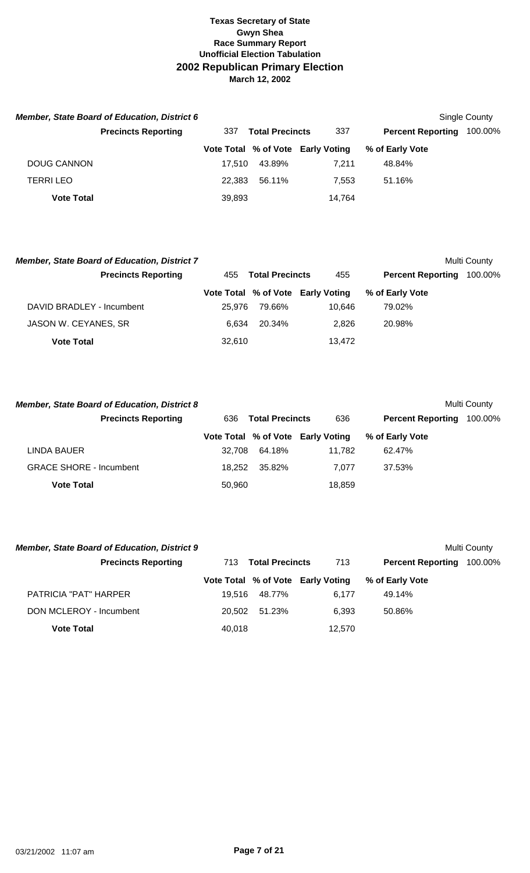|                   | <b>Member, State Board of Education, District 6</b> |        |                        |                                   |                          | Single County |
|-------------------|-----------------------------------------------------|--------|------------------------|-----------------------------------|--------------------------|---------------|
|                   | <b>Precincts Reporting</b>                          | 337    | <b>Total Precincts</b> | 337                               | <b>Percent Reporting</b> | 100.00%       |
|                   |                                                     |        |                        | Vote Total % of Vote Early Voting | % of Early Vote          |               |
| DOUG CANNON       |                                                     | 17.510 | 43.89%                 | 7.211                             | 48.84%                   |               |
| <b>TERRILEO</b>   |                                                     | 22.383 | 56.11%                 | 7.553                             | 51.16%                   |               |
| <b>Vote Total</b> |                                                     | 39,893 |                        | 14,764                            |                          |               |

| <b>Member, State Board of Education, District 7</b> |        |                        |                                   |                          | Multi County |
|-----------------------------------------------------|--------|------------------------|-----------------------------------|--------------------------|--------------|
| <b>Precincts Reporting</b>                          | 455    | <b>Total Precincts</b> | 455                               | <b>Percent Reporting</b> | 100.00%      |
|                                                     |        |                        | Vote Total % of Vote Early Voting | % of Early Vote          |              |
| DAVID BRADLEY - Incumbent                           | 25.976 | 79.66%                 | 10.646                            | 79.02%                   |              |
| JASON W. CEYANES, SR                                | 6.634  | 20.34%                 | 2.826                             | 20.98%                   |              |
| <b>Vote Total</b>                                   | 32,610 |                        | 13,472                            |                          |              |

| <b>Member, State Board of Education, District 8</b> |        |                        |                                   |                          | Multi County |
|-----------------------------------------------------|--------|------------------------|-----------------------------------|--------------------------|--------------|
| <b>Precincts Reporting</b>                          | 636    | <b>Total Precincts</b> | 636                               | <b>Percent Reporting</b> | 100.00%      |
|                                                     |        |                        | Vote Total % of Vote Early Voting | % of Early Vote          |              |
| LINDA BAUER                                         | 32.708 | 64.18%                 | 11.782                            | 62.47%                   |              |
| <b>GRACE SHORE - Incumbent</b>                      | 18.252 | 35.82%                 | 7.077                             | 37.53%                   |              |
| <b>Vote Total</b>                                   | 50,960 |                        | 18,859                            |                          |              |

| <b>Member, State Board of Education, District 9</b> |        |                        |                                   |                          | Multi County |
|-----------------------------------------------------|--------|------------------------|-----------------------------------|--------------------------|--------------|
| <b>Precincts Reporting</b>                          | 713    | <b>Total Precincts</b> | 713                               | <b>Percent Reporting</b> | 100.00%      |
|                                                     |        |                        | Vote Total % of Vote Early Voting | % of Early Vote          |              |
| <b>PATRICIA "PAT" HARPER</b>                        | 19.516 | 48.77%                 | 6.177                             | 49.14%                   |              |
| DON MCLEROY - Incumbent                             | 20.502 | 51.23%                 | 6.393                             | 50.86%                   |              |
| <b>Vote Total</b>                                   | 40,018 |                        | 12,570                            |                          |              |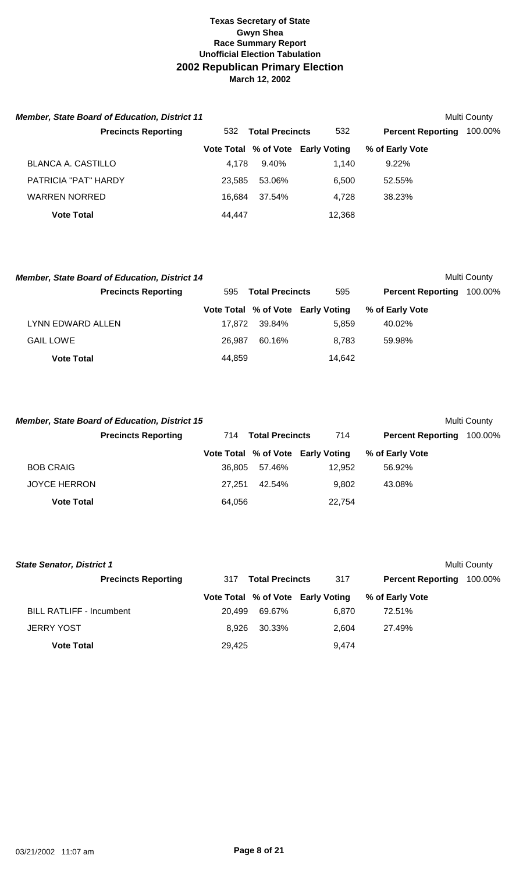| <b>Member, State Board of Education, District 11</b> |        |                        |                                   |                          | Multi County |
|------------------------------------------------------|--------|------------------------|-----------------------------------|--------------------------|--------------|
| <b>Precincts Reporting</b>                           | 532    | <b>Total Precincts</b> | 532                               | <b>Percent Reporting</b> | 100.00%      |
|                                                      |        |                        | Vote Total % of Vote Early Voting | % of Early Vote          |              |
| BLANCA A. CASTILLO                                   | 4.178  | 9.40%                  | 1.140                             | $9.22\%$                 |              |
| PATRICIA "PAT" HARDY                                 | 23.585 | 53.06%                 | 6.500                             | 52.55%                   |              |
| <b>WARREN NORRED</b>                                 | 16.684 | 37.54%                 | 4.728                             | 38.23%                   |              |
| <b>Vote Total</b>                                    | 44.447 |                        | 12,368                            |                          |              |

| <b>Member, State Board of Education, District 14</b> |        |                        |                                   |                          | Multi County |
|------------------------------------------------------|--------|------------------------|-----------------------------------|--------------------------|--------------|
| <b>Precincts Reporting</b>                           | 595    | <b>Total Precincts</b> | 595                               | <b>Percent Reporting</b> | 100.00%      |
|                                                      |        |                        | Vote Total % of Vote Early Voting | % of Early Vote          |              |
| LYNN EDWARD ALLEN                                    | 17.872 | 39.84%                 | 5.859                             | 40.02%                   |              |
| <b>GAIL LOWE</b>                                     | 26.987 | 60.16%                 | 8.783                             | 59.98%                   |              |
| <b>Vote Total</b>                                    | 44,859 |                        | 14,642                            |                          |              |

|                     | <b>Member, State Board of Education, District 15</b> |        |                        |                                   |                          | <b>Multi County</b> |
|---------------------|------------------------------------------------------|--------|------------------------|-----------------------------------|--------------------------|---------------------|
|                     | <b>Precincts Reporting</b>                           | 714    | <b>Total Precincts</b> | 714                               | <b>Percent Reporting</b> | 100.00%             |
|                     |                                                      |        |                        | Vote Total % of Vote Early Voting | % of Early Vote          |                     |
| <b>BOB CRAIG</b>    |                                                      | 36.805 | 57.46%                 | 12.952                            | 56.92%                   |                     |
| <b>JOYCE HERRON</b> |                                                      | 27.251 | 42.54%                 | 9.802                             | 43.08%                   |                     |
| <b>Vote Total</b>   |                                                      | 64,056 |                        | 22,754                            |                          |                     |

| <b>State Senator, District 1</b><br>Multi County |        |                        |                                   |                          |         |  |  |
|--------------------------------------------------|--------|------------------------|-----------------------------------|--------------------------|---------|--|--|
| <b>Precincts Reporting</b>                       | 317    | <b>Total Precincts</b> | 317                               | <b>Percent Reporting</b> | 100.00% |  |  |
|                                                  |        |                        | Vote Total % of Vote Early Voting | % of Early Vote          |         |  |  |
| <b>BILL RATLIFF - Incumbent</b>                  | 20.499 | 69.67%                 | 6.870                             | 72.51%                   |         |  |  |
| <b>JERRY YOST</b>                                | 8.926  | 30.33%                 | 2.604                             | 27.49%                   |         |  |  |
| <b>Vote Total</b>                                | 29.425 |                        | 9.474                             |                          |         |  |  |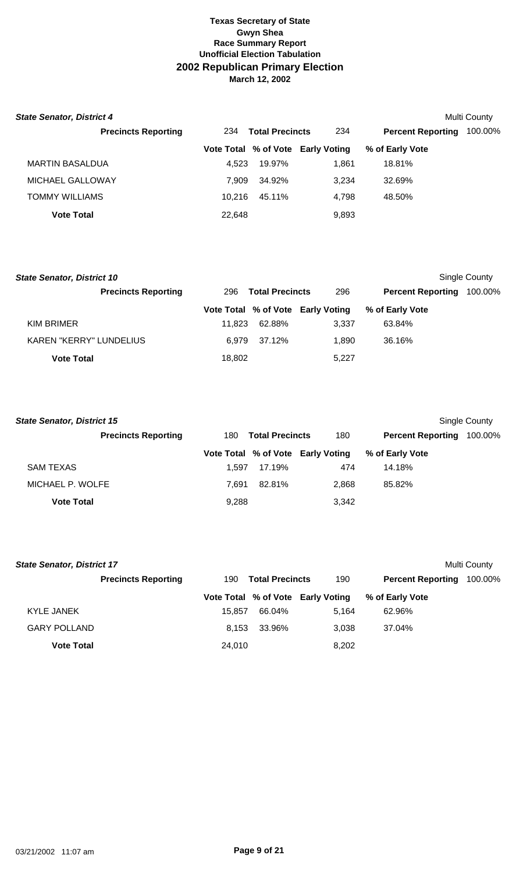| <b>State Senator, District 4</b> |        |                        |                                   |                          | Multi County |
|----------------------------------|--------|------------------------|-----------------------------------|--------------------------|--------------|
| <b>Precincts Reporting</b>       | 234    | <b>Total Precincts</b> | 234                               | <b>Percent Reporting</b> | 100.00%      |
|                                  |        |                        | Vote Total % of Vote Early Voting | % of Early Vote          |              |
| MARTIN BASALDUA                  | 4.523  | 19.97%                 | 1.861                             | 18.81%                   |              |
| MICHAEL GALLOWAY                 | 7.909  | 34.92%                 | 3.234                             | 32.69%                   |              |
| TOMMY WILLIAMS                   | 10.216 | 45.11%                 | 4.798                             | 48.50%                   |              |
| <b>Vote Total</b>                | 22,648 |                        | 9,893                             |                          |              |

| <b>State Senator, District 10</b> |                            |        |                        |                                   |                          | Single County |
|-----------------------------------|----------------------------|--------|------------------------|-----------------------------------|--------------------------|---------------|
|                                   | <b>Precincts Reporting</b> | 296    | <b>Total Precincts</b> | 296                               | <b>Percent Reporting</b> | 100.00%       |
|                                   |                            |        |                        | Vote Total % of Vote Early Voting | % of Early Vote          |               |
| <b>KIM BRIMER</b>                 |                            | 11.823 | 62.88%                 | 3.337                             | 63.84%                   |               |
| <b>KAREN "KERRY" LUNDELIUS</b>    |                            | 6.979  | 37.12%                 | 1.890                             | 36.16%                   |               |
| <b>Vote Total</b>                 |                            | 18,802 |                        | 5.227                             |                          |               |

| <b>State Senator, District 15</b> |                            |       |                        |                                   |                          | Single County |
|-----------------------------------|----------------------------|-------|------------------------|-----------------------------------|--------------------------|---------------|
|                                   | <b>Precincts Reporting</b> | 180   | <b>Total Precincts</b> | 180                               | <b>Percent Reporting</b> | 100.00%       |
|                                   |                            |       |                        | Vote Total % of Vote Early Voting | % of Early Vote          |               |
| <b>SAM TEXAS</b>                  |                            | 1.597 | 17.19%                 | 474                               | 14.18%                   |               |
| MICHAEL P. WOLFE                  |                            | 7.691 | 82.81%                 | 2.868                             | 85.82%                   |               |
| <b>Vote Total</b>                 |                            | 9,288 |                        | 3,342                             |                          |               |

| <b>State Senator, District 17</b><br>Multi County |                            |        |                        |                                   |                          |         |  |
|---------------------------------------------------|----------------------------|--------|------------------------|-----------------------------------|--------------------------|---------|--|
|                                                   | <b>Precincts Reporting</b> | 190    | <b>Total Precincts</b> | 190                               | <b>Percent Reporting</b> | 100.00% |  |
|                                                   |                            |        |                        | Vote Total % of Vote Early Voting | % of Early Vote          |         |  |
| KYLE JANEK                                        |                            | 15.857 | 66.04%                 | 5.164                             | 62.96%                   |         |  |
| <b>GARY POLLAND</b>                               |                            | 8.153  | 33.96%                 | 3.038                             | 37.04%                   |         |  |
| <b>Vote Total</b>                                 |                            | 24.010 |                        | 8,202                             |                          |         |  |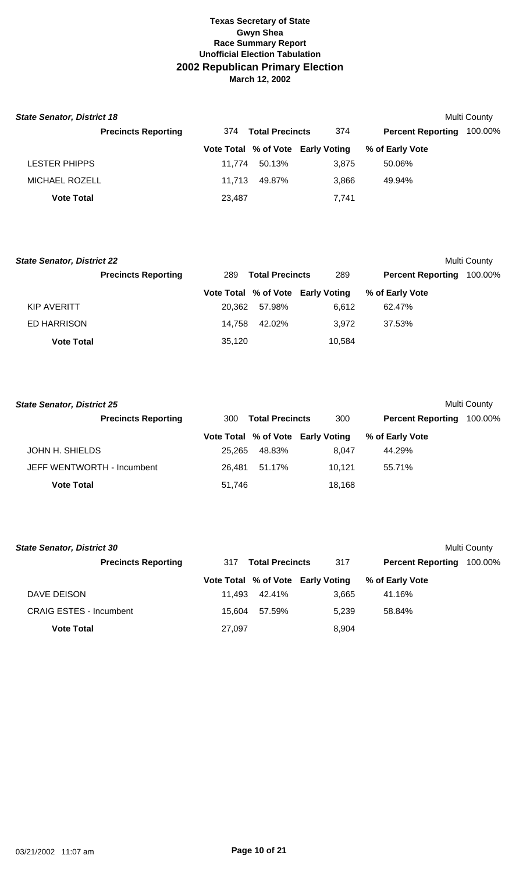| <b>State Senator, District 18</b> |                            |        |                        |                                   |                          | Multi County |
|-----------------------------------|----------------------------|--------|------------------------|-----------------------------------|--------------------------|--------------|
|                                   | <b>Precincts Reporting</b> | 374    | <b>Total Precincts</b> | 374                               | <b>Percent Reporting</b> | 100.00%      |
|                                   |                            |        |                        | Vote Total % of Vote Early Voting | % of Early Vote          |              |
| <b>LESTER PHIPPS</b>              |                            | 11.774 | 50.13%                 | 3.875                             | 50.06%                   |              |
| <b>MICHAEL ROZELL</b>             |                            | 11.713 | 49.87%                 | 3.866                             | 49.94%                   |              |
| <b>Vote Total</b>                 |                            | 23,487 |                        | 7,741                             |                          |              |

| <b>State Senator, District 22</b> |                            |        |                        |                                   |                          | Multi County |
|-----------------------------------|----------------------------|--------|------------------------|-----------------------------------|--------------------------|--------------|
|                                   | <b>Precincts Reporting</b> | 289    | <b>Total Precincts</b> | 289                               | <b>Percent Reporting</b> | 100.00%      |
|                                   |                            |        |                        | Vote Total % of Vote Early Voting | % of Early Vote          |              |
| KIP AVERITT                       |                            | 20.362 | 57.98%                 | 6.612                             | 62.47%                   |              |
| <b>ED HARRISON</b>                |                            | 14.758 | 42.02%                 | 3.972                             | 37.53%                   |              |
| <b>Vote Total</b>                 |                            | 35,120 |                        | 10,584                            |                          |              |

| <b>State Senator, District 25</b> |                               |        |                                   |                          | Multi County |
|-----------------------------------|-------------------------------|--------|-----------------------------------|--------------------------|--------------|
| <b>Precincts Reporting</b>        | <b>Total Precincts</b><br>300 |        | 300                               | <b>Percent Reporting</b> | 100.00%      |
|                                   |                               |        | Vote Total % of Vote Early Voting | % of Early Vote          |              |
| JOHN H. SHIELDS                   | 25.265                        | 48.83% | 8.047                             | 44.29%                   |              |
| JEFF WENTWORTH - Incumbent        | 26.481                        | 51.17% | 10.121                            | 55.71%                   |              |
| <b>Vote Total</b>                 | 51,746                        |        | 18,168                            |                          |              |

| <b>State Senator, District 30</b> |        |                        |                                   |                          | Multi County |
|-----------------------------------|--------|------------------------|-----------------------------------|--------------------------|--------------|
| <b>Precincts Reporting</b>        | 317    | <b>Total Precincts</b> | 317                               | <b>Percent Reporting</b> | 100.00%      |
|                                   |        |                        | Vote Total % of Vote Early Voting | % of Early Vote          |              |
| DAVE DEISON                       | 11.493 | 42.41%                 | 3,665                             | 41.16%                   |              |
| <b>CRAIG ESTES - Incumbent</b>    | 15.604 | 57.59%                 | 5.239                             | 58.84%                   |              |
| <b>Vote Total</b>                 | 27,097 |                        | 8,904                             |                          |              |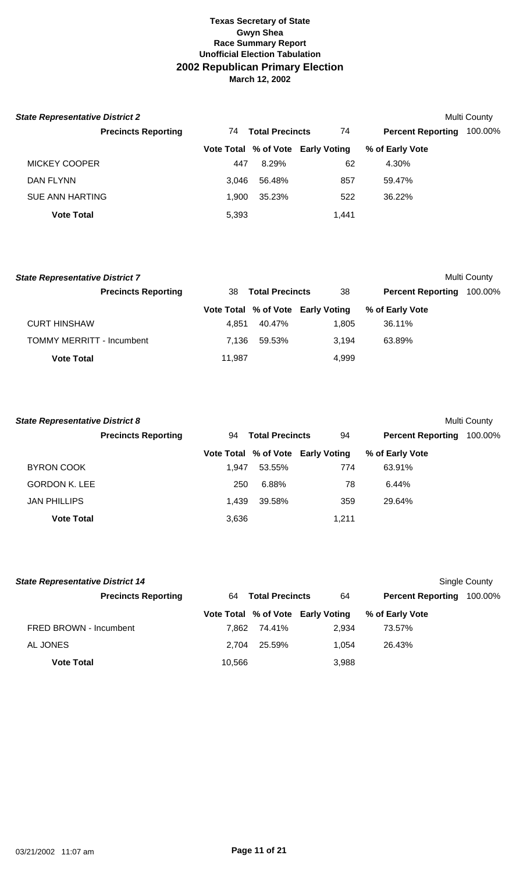| <b>State Representative District 2</b> |       |                        |                                   |                          | Multi County |
|----------------------------------------|-------|------------------------|-----------------------------------|--------------------------|--------------|
| <b>Precincts Reporting</b>             | 74    | <b>Total Precincts</b> | 74                                | <b>Percent Reporting</b> | 100.00%      |
|                                        |       |                        | Vote Total % of Vote Early Voting | % of Early Vote          |              |
| MICKEY COOPER                          | 447   | 8.29%                  | 62                                | 4.30%                    |              |
| DAN FLYNN                              | 3.046 | 56.48%                 | 857                               | 59.47%                   |              |
| <b>SUE ANN HARTING</b>                 | 1.900 | 35.23%                 | 522                               | 36.22%                   |              |
| <b>Vote Total</b>                      | 5,393 |                        | 1.441                             |                          |              |

| <b>State Representative District 7</b> |                              |        |                                   |                          | Multi County |
|----------------------------------------|------------------------------|--------|-----------------------------------|--------------------------|--------------|
| <b>Precincts Reporting</b>             | <b>Total Precincts</b><br>38 |        | 38                                | <b>Percent Reporting</b> | 100.00%      |
|                                        |                              |        | Vote Total % of Vote Early Voting | % of Early Vote          |              |
| <b>CURT HINSHAW</b>                    | 4.851                        | 40.47% | 1.805                             | 36.11%                   |              |
| <b>TOMMY MERRITT - Incumbent</b>       | 7.136                        | 59.53% | 3.194                             | 63.89%                   |              |
| <b>Vote Total</b>                      | 11.987                       |        | 4.999                             |                          |              |

| <b>State Representative District 8</b> |                            |       |                        |                                   |                          | <b>Multi County</b> |
|----------------------------------------|----------------------------|-------|------------------------|-----------------------------------|--------------------------|---------------------|
|                                        | <b>Precincts Reporting</b> | 94    | <b>Total Precincts</b> | 94                                | <b>Percent Reporting</b> | 100.00%             |
|                                        |                            |       |                        | Vote Total % of Vote Early Voting | % of Early Vote          |                     |
| <b>BYRON COOK</b>                      |                            | 1.947 | 53.55%                 | 774                               | 63.91%                   |                     |
| <b>GORDON K. LEE</b>                   |                            | 250   | 6.88%                  | 78                                | 6.44%                    |                     |
| <b>JAN PHILLIPS</b>                    |                            | 1.439 | 39.58%                 | 359                               | 29.64%                   |                     |
| <b>Vote Total</b>                      |                            | 3,636 |                        | 1.211                             |                          |                     |

| <b>State Representative District 14</b> |        |                        | Single County                     |                          |         |
|-----------------------------------------|--------|------------------------|-----------------------------------|--------------------------|---------|
| <b>Precincts Reporting</b>              | 64     | <b>Total Precincts</b> |                                   | <b>Percent Reporting</b> | 100.00% |
|                                         |        |                        | Vote Total % of Vote Early Voting | % of Early Vote          |         |
| FRED BROWN - Incumbent                  | 7.862  | 74.41%                 | 2.934                             | 73.57%                   |         |
| AL JONES                                | 2.704  | 25.59%                 | 1.054                             | 26.43%                   |         |
| <b>Vote Total</b>                       | 10.566 |                        | 3,988                             |                          |         |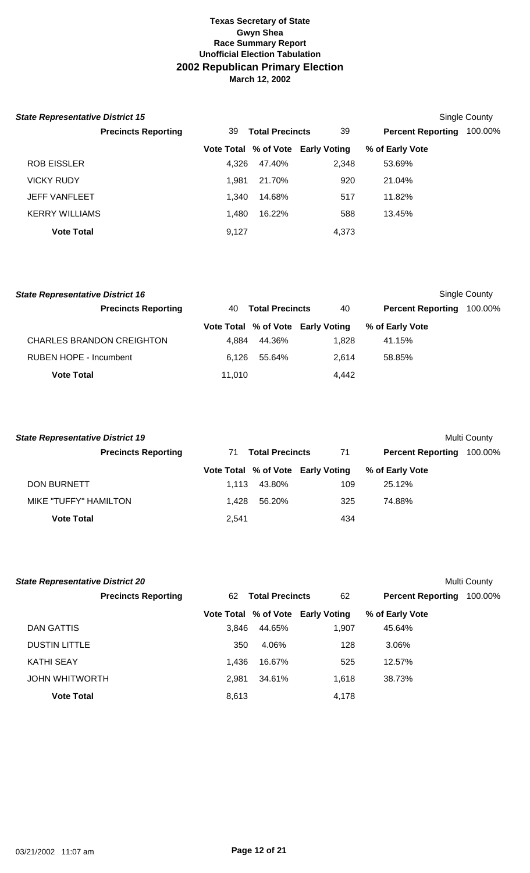| <b>State Representative District 15</b> |       |                        |                                   |                          | Single County |
|-----------------------------------------|-------|------------------------|-----------------------------------|--------------------------|---------------|
| <b>Precincts Reporting</b>              | 39    | <b>Total Precincts</b> |                                   | <b>Percent Reporting</b> | 100.00%       |
|                                         |       |                        | Vote Total % of Vote Early Voting | % of Early Vote          |               |
| <b>ROB EISSLER</b>                      | 4.326 | 47.40%                 | 2,348                             | 53.69%                   |               |
| <b>VICKY RUDY</b>                       | 1.981 | 21.70%                 | 920                               | 21.04%                   |               |
| <b>JEFF VANFLEET</b>                    | 1.340 | 14.68%                 | 517                               | 11.82%                   |               |
| <b>KERRY WILLIAMS</b>                   | 1.480 | 16.22%                 | 588                               | 13.45%                   |               |
| <b>Vote Total</b>                       | 9,127 |                        | 4,373                             |                          |               |

| <b>State Representative District 16</b> |                              |        |                                   |                          | Single County |
|-----------------------------------------|------------------------------|--------|-----------------------------------|--------------------------|---------------|
| <b>Precincts Reporting</b>              | <b>Total Precincts</b><br>40 |        | 40                                | <b>Percent Reporting</b> | 100.00%       |
|                                         |                              |        | Vote Total % of Vote Early Voting | % of Early Vote          |               |
| <b>CHARLES BRANDON CREIGHTON</b>        | 4.884                        | 44.36% | 1.828                             | 41.15%                   |               |
| RUBEN HOPE - Incumbent                  | 6.126                        | 55.64% | 2.614                             | 58.85%                   |               |
| <b>Vote Total</b>                       | 11.010                       |        | 4.442                             |                          |               |

| <b>State Representative District 19</b> |       |                        |                                   |                          | Multi County |
|-----------------------------------------|-------|------------------------|-----------------------------------|--------------------------|--------------|
| <b>Precincts Reporting</b>              | 71    | <b>Total Precincts</b> | 71                                | <b>Percent Reporting</b> | 100.00%      |
|                                         |       |                        | Vote Total % of Vote Early Voting | % of Early Vote          |              |
| DON BURNETT                             | 1.113 | 43.80%                 | 109                               | 25.12%                   |              |
| <b>MIKE "TUFFY" HAMILTON</b>            | 1.428 | 56.20%                 | 325                               | 74.88%                   |              |
| <b>Vote Total</b>                       | 2,541 |                        | 434                               |                          |              |

| <b>State Representative District 20</b> |       |                        |                                   |                          | Multi County |
|-----------------------------------------|-------|------------------------|-----------------------------------|--------------------------|--------------|
| <b>Precincts Reporting</b>              | 62    | <b>Total Precincts</b> | 62                                | <b>Percent Reporting</b> | 100.00%      |
|                                         |       |                        | Vote Total % of Vote Early Voting | % of Early Vote          |              |
| DAN GATTIS                              | 3,846 | 44.65%                 | 1,907                             | 45.64%                   |              |
| <b>DUSTIN LITTLE</b>                    | 350   | 4.06%                  | 128                               | 3.06%                    |              |
| <b>KATHI SEAY</b>                       | 1.436 | 16.67%                 | 525                               | 12.57%                   |              |
| <b>JOHN WHITWORTH</b>                   | 2.981 | 34.61%                 | 1,618                             | 38.73%                   |              |
| <b>Vote Total</b>                       | 8,613 |                        | 4,178                             |                          |              |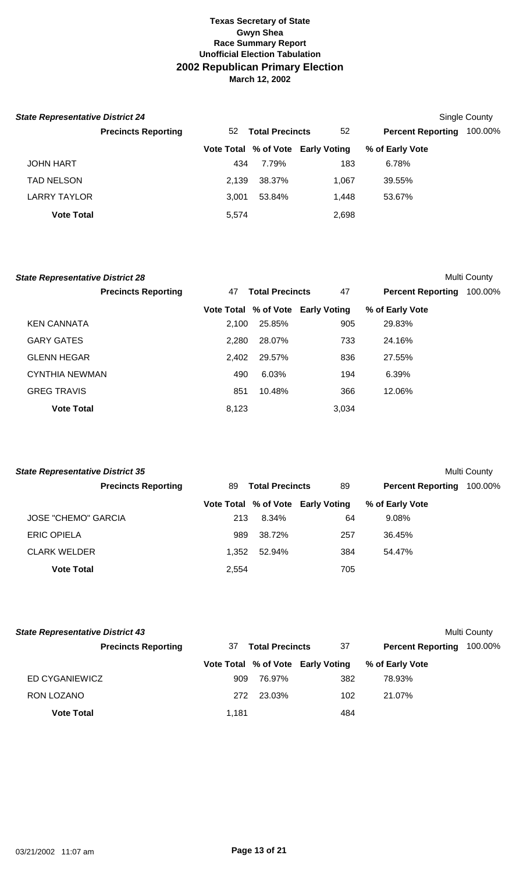| <b>State Representative District 24</b> |                            |       |                        |                                   |                          | Single County |
|-----------------------------------------|----------------------------|-------|------------------------|-----------------------------------|--------------------------|---------------|
|                                         | <b>Precincts Reporting</b> | 52    | <b>Total Precincts</b> | 52                                | <b>Percent Reporting</b> | 100.00%       |
|                                         |                            |       |                        | Vote Total % of Vote Early Voting | % of Early Vote          |               |
| <b>JOHN HART</b>                        |                            | 434   | 7.79%                  | 183                               | 6.78%                    |               |
| <b>TAD NELSON</b>                       |                            | 2.139 | 38.37%                 | 1.067                             | 39.55%                   |               |
| <b>LARRY TAYLOR</b>                     |                            | 3.001 | 53.84%                 | 1.448                             | 53.67%                   |               |
| <b>Vote Total</b>                       |                            | 5,574 |                        | 2,698                             |                          |               |

| <b>State Representative District 28</b> |                            |       |                        |                                   |                          | Multi County |
|-----------------------------------------|----------------------------|-------|------------------------|-----------------------------------|--------------------------|--------------|
|                                         | <b>Precincts Reporting</b> | 47    | <b>Total Precincts</b> | 47                                | <b>Percent Reporting</b> | 100.00%      |
|                                         |                            |       |                        | Vote Total % of Vote Early Voting | % of Early Vote          |              |
| <b>KEN CANNATA</b>                      |                            | 2.100 | 25.85%                 | 905                               | 29.83%                   |              |
| <b>GARY GATES</b>                       |                            | 2.280 | 28.07%                 | 733                               | 24.16%                   |              |
| <b>GLENN HEGAR</b>                      |                            | 2.402 | 29.57%                 | 836                               | 27.55%                   |              |
| <b>CYNTHIA NEWMAN</b>                   |                            | 490   | 6.03%                  | 194                               | 6.39%                    |              |
| <b>GREG TRAVIS</b>                      |                            | 851   | 10.48%                 | 366                               | 12.06%                   |              |
| <b>Vote Total</b>                       |                            | 8,123 |                        | 3.034                             |                          |              |

| <b>State Representative District 35</b> |       |                        |                                   |                          | Multi County |
|-----------------------------------------|-------|------------------------|-----------------------------------|--------------------------|--------------|
| <b>Precincts Reporting</b>              | 89    | <b>Total Precincts</b> | 89                                | <b>Percent Reporting</b> | 100.00%      |
|                                         |       |                        | Vote Total % of Vote Early Voting | % of Early Vote          |              |
| <b>JOSE "CHEMO" GARCIA</b>              | 213   | 8.34%                  | 64                                | $9.08\%$                 |              |
| <b>ERIC OPIELA</b>                      | 989   | 38.72%                 | 257                               | 36.45%                   |              |
| <b>CLARK WELDER</b>                     | 1.352 | 52.94%                 | 384                               | 54.47%                   |              |
| <b>Vote Total</b>                       | 2,554 |                        | 705                               |                          |              |

| <b>State Representative District 43</b> |       |                        |                                   |                          | Multi County |
|-----------------------------------------|-------|------------------------|-----------------------------------|--------------------------|--------------|
| <b>Precincts Reporting</b>              | 37    | <b>Total Precincts</b> | 37                                | <b>Percent Reporting</b> | 100.00%      |
|                                         |       |                        | Vote Total % of Vote Early Voting | % of Early Vote          |              |
| ED CYGANIEWICZ                          | 909   | 76.97%                 | 382                               | 78.93%                   |              |
| RON LOZANO                              | 272   | 23.03%                 | 102                               | 21.07%                   |              |
| <b>Vote Total</b>                       | 1,181 |                        | 484                               |                          |              |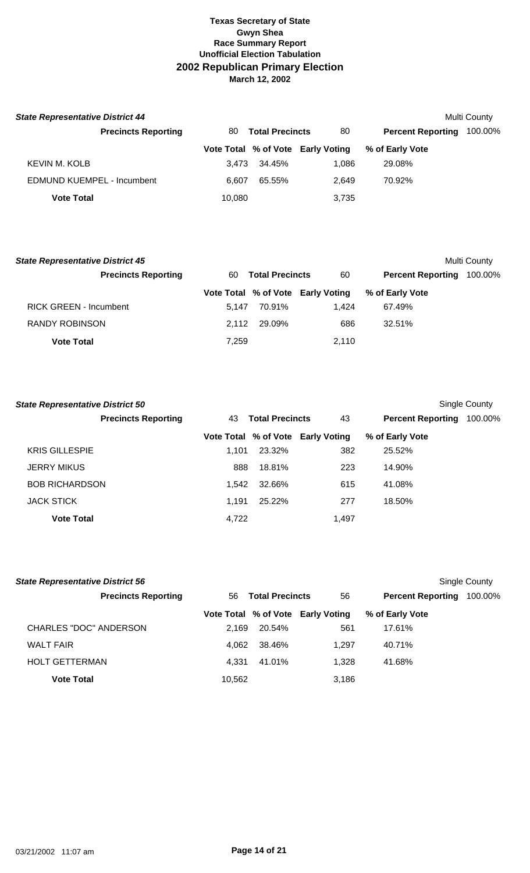| <b>State Representative District 44</b><br>Multi County |        |       |                        |                                   |                          |         |  |
|---------------------------------------------------------|--------|-------|------------------------|-----------------------------------|--------------------------|---------|--|
| <b>Precincts Reporting</b>                              | 80     |       | <b>Total Precincts</b> | 80                                | <b>Percent Reporting</b> | 100.00% |  |
|                                                         |        |       |                        | Vote Total % of Vote Early Voting | % of Early Vote          |         |  |
| KEVIN M. KOLB                                           |        | 3.473 | 34.45%                 | 1.086                             | 29.08%                   |         |  |
| <b>EDMUND KUEMPEL - Incumbent</b>                       |        | 6.607 | 65.55%                 | 2.649                             | 70.92%                   |         |  |
| <b>Vote Total</b>                                       | 10,080 |       |                        | 3,735                             |                          |         |  |

| <b>State Representative District 45</b> |       |                        |                                   |                          | Multi County |
|-----------------------------------------|-------|------------------------|-----------------------------------|--------------------------|--------------|
| <b>Precincts Reporting</b>              | 60    | <b>Total Precincts</b> | 60                                | <b>Percent Reporting</b> | 100.00%      |
|                                         |       |                        | Vote Total % of Vote Early Voting | % of Early Vote          |              |
| <b>RICK GREEN - Incumbent</b>           | 5.147 | 70.91%                 | 1.424                             | 67.49%                   |              |
| <b>RANDY ROBINSON</b>                   | 2.112 | 29.09%                 | 686                               | 32.51%                   |              |
| <b>Vote Total</b>                       | 7,259 |                        | 2.110                             |                          |              |

| <b>State Representative District 50</b> |       |                        |                                   |                          | Single County |
|-----------------------------------------|-------|------------------------|-----------------------------------|--------------------------|---------------|
| <b>Precincts Reporting</b>              | 43    | <b>Total Precincts</b> | 43                                | <b>Percent Reporting</b> | 100.00%       |
|                                         |       |                        | Vote Total % of Vote Early Voting | % of Early Vote          |               |
| <b>KRIS GILLESPIE</b>                   | 1.101 | 23.32%                 | 382                               | 25.52%                   |               |
| <b>JERRY MIKUS</b>                      | 888   | 18.81%                 | 223                               | 14.90%                   |               |
| <b>BOB RICHARDSON</b>                   | 1.542 | 32.66%                 | 615                               | 41.08%                   |               |
| <b>JACK STICK</b>                       | 1.191 | 25.22%                 | 277                               | 18.50%                   |               |
| <b>Vote Total</b>                       | 4,722 |                        | 1,497                             |                          |               |

| <b>State Representative District 56</b> |        |                        |                                   |                          | Single County |
|-----------------------------------------|--------|------------------------|-----------------------------------|--------------------------|---------------|
| <b>Precincts Reporting</b>              | 56     | <b>Total Precincts</b> | 56                                | <b>Percent Reporting</b> | 100.00%       |
|                                         |        |                        | Vote Total % of Vote Early Voting | % of Early Vote          |               |
| CHARLES "DOC" ANDERSON                  | 2.169  | 20.54%                 | 561                               | 17.61%                   |               |
| <b>WALT FAIR</b>                        | 4.062  | 38.46%                 | 1.297                             | 40.71%                   |               |
| <b>HOLT GETTERMAN</b>                   | 4.331  | 41.01%                 | 1.328                             | 41.68%                   |               |
| <b>Vote Total</b>                       | 10,562 |                        | 3,186                             |                          |               |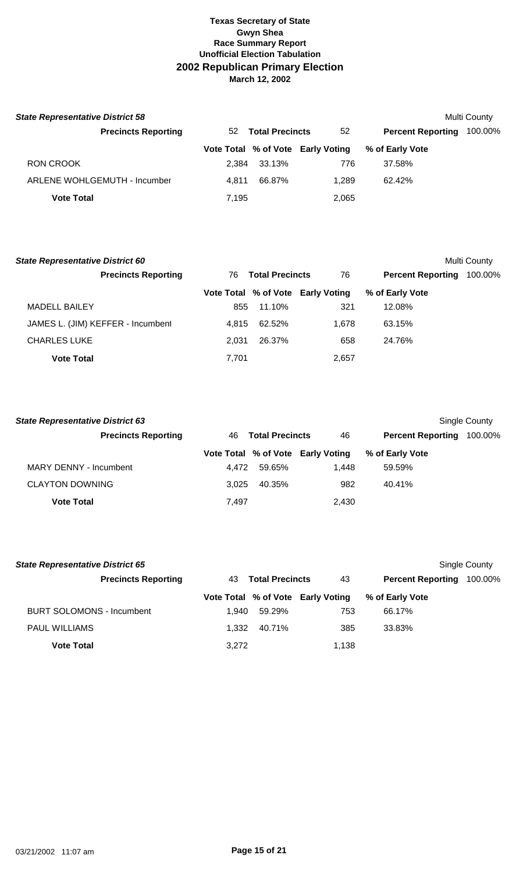| <b>State Representative District 58</b> |                                     |       |                        |                                   |                          | Multi County |
|-----------------------------------------|-------------------------------------|-------|------------------------|-----------------------------------|--------------------------|--------------|
|                                         | <b>Precincts Reporting</b>          | 52    | <b>Total Precincts</b> | 52                                | <b>Percent Reporting</b> | 100.00%      |
|                                         |                                     |       |                        | Vote Total % of Vote Early Voting | % of Early Vote          |              |
| <b>RON CROOK</b>                        |                                     | 2.384 | 33.13%                 | 776                               | 37.58%                   |              |
|                                         | <b>ARLENE WOHLGEMUTH - Incumber</b> | 4.811 | 66.87%                 | 1.289                             | 62.42%                   |              |
| <b>Vote Total</b>                       |                                     | 7,195 |                        | 2,065                             |                          |              |

| <b>State Representative District 60</b> |                              |        |                                   |                          | Multi County |
|-----------------------------------------|------------------------------|--------|-----------------------------------|--------------------------|--------------|
| <b>Precincts Reporting</b>              | <b>Total Precincts</b><br>76 |        | 76                                | <b>Percent Reporting</b> | 100.00%      |
|                                         |                              |        | Vote Total % of Vote Early Voting | % of Early Vote          |              |
| <b>MADELL BAILEY</b>                    | 855                          | 11.10% | 321                               | 12.08%                   |              |
| JAMES L. (JIM) KEFFER - Incumbent       | 4.815                        | 62.52% | 1.678                             | 63.15%                   |              |
| <b>CHARLES LUKE</b>                     | 2.031                        | 26.37% | 658                               | 24.76%                   |              |
| <b>Vote Total</b>                       | 7,701                        |        | 2.657                             |                          |              |

| <b>State Representative District 63</b> |       |                        |                                   |                          | Single County |
|-----------------------------------------|-------|------------------------|-----------------------------------|--------------------------|---------------|
| <b>Precincts Reporting</b>              | 46    | <b>Total Precincts</b> | 46                                | <b>Percent Reporting</b> | 100.00%       |
|                                         |       |                        | Vote Total % of Vote Early Voting | % of Early Vote          |               |
| MARY DENNY - Incumbent                  | 4.472 | 59.65%                 | 1.448                             | 59.59%                   |               |
| <b>CLAYTON DOWNING</b>                  | 3.025 | 40.35%                 | 982                               | 40.41%                   |               |
| <b>Vote Total</b>                       | 7,497 |                        | 2,430                             |                          |               |

| <b>State Representative District 65</b> |       |                        |                                   |                          | Single County |
|-----------------------------------------|-------|------------------------|-----------------------------------|--------------------------|---------------|
| <b>Precincts Reporting</b>              | 43.   | <b>Total Precincts</b> | 43                                | <b>Percent Reporting</b> | 100.00%       |
|                                         |       |                        | Vote Total % of Vote Early Voting | % of Early Vote          |               |
| <b>BURT SOLOMONS - Incumbent</b>        | 1.940 | 59.29%                 | 753                               | 66.17%                   |               |
| <b>PAUL WILLIAMS</b>                    | 1.332 | 40.71%                 | 385                               | 33.83%                   |               |
| <b>Vote Total</b>                       | 3.272 |                        | 1,138                             |                          |               |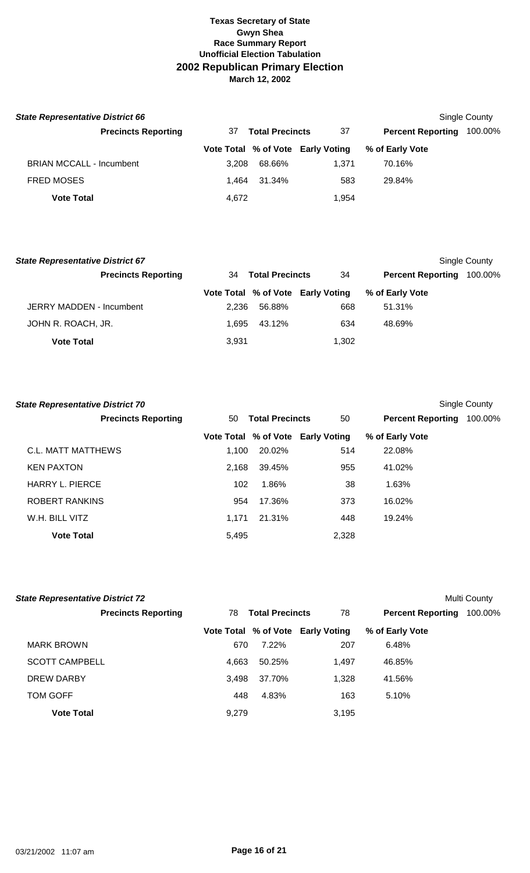| <b>State Representative District 66</b> |                            |       |                        |                                   |                          | <b>Single County</b> |
|-----------------------------------------|----------------------------|-------|------------------------|-----------------------------------|--------------------------|----------------------|
|                                         | <b>Precincts Reporting</b> | 37    | <b>Total Precincts</b> | -37                               | <b>Percent Reporting</b> | 100.00%              |
|                                         |                            |       |                        | Vote Total % of Vote Early Voting | % of Early Vote          |                      |
| <b>BRIAN MCCALL - Incumbent</b>         |                            | 3.208 | 68.66%                 | 1.371                             | 70.16%                   |                      |
| <b>FRED MOSES</b>                       |                            | 1.464 | 31.34%                 | 583                               | 29.84%                   |                      |
| <b>Vote Total</b>                       |                            | 4,672 |                        | 1,954                             |                          |                      |

| <b>State Representative District 67</b> |       |                        |                                   |                          | Single County |
|-----------------------------------------|-------|------------------------|-----------------------------------|--------------------------|---------------|
| <b>Precincts Reporting</b>              | 34    | <b>Total Precincts</b> | 34                                | <b>Percent Reporting</b> | 100.00%       |
|                                         |       |                        | Vote Total % of Vote Early Voting | % of Early Vote          |               |
| JERRY MADDEN - Incumbent                | 2.236 | 56.88%                 | 668                               | 51.31%                   |               |
| JOHN R. ROACH, JR.                      | 1.695 | 43.12%                 | 634                               | 48.69%                   |               |
| <b>Vote Total</b>                       | 3,931 |                        | 1,302                             |                          |               |

| <b>State Representative District 70</b> |       |                        |                                   |                          | Single County |
|-----------------------------------------|-------|------------------------|-----------------------------------|--------------------------|---------------|
| <b>Precincts Reporting</b>              | 50    | <b>Total Precincts</b> | 50                                | <b>Percent Reporting</b> | 100.00%       |
|                                         |       |                        | Vote Total % of Vote Early Voting | % of Early Vote          |               |
| C.L. MATT MATTHEWS                      | 1.100 | 20.02%                 | 514                               | 22.08%                   |               |
| <b>KEN PAXTON</b>                       | 2,168 | 39.45%                 | 955                               | 41.02%                   |               |
| <b>HARRY L. PIERCE</b>                  | 102   | 1.86%                  | 38                                | 1.63%                    |               |
| ROBERT RANKINS                          | 954   | 17.36%                 | 373                               | 16.02%                   |               |
| W.H. BILL VITZ                          | 1.171 | 21.31%                 | 448                               | 19.24%                   |               |
| <b>Vote Total</b>                       | 5,495 |                        | 2.328                             |                          |               |

| <b>State Representative District 72</b> |       |                        |                                   |                          | Multi County |
|-----------------------------------------|-------|------------------------|-----------------------------------|--------------------------|--------------|
| <b>Precincts Reporting</b>              | 78    | <b>Total Precincts</b> | 78                                | <b>Percent Reporting</b> | 100.00%      |
|                                         |       |                        | Vote Total % of Vote Early Voting | % of Early Vote          |              |
| <b>MARK BROWN</b>                       | 670   | 7.22%                  | 207                               | 6.48%                    |              |
| <b>SCOTT CAMPBELL</b>                   | 4.663 | 50.25%                 | 1.497                             | 46.85%                   |              |
| DREW DARBY                              | 3,498 | 37.70%                 | 1,328                             | 41.56%                   |              |
| TOM GOFF                                | 448   | 4.83%                  | 163                               | 5.10%                    |              |
| <b>Vote Total</b>                       | 9,279 |                        | 3,195                             |                          |              |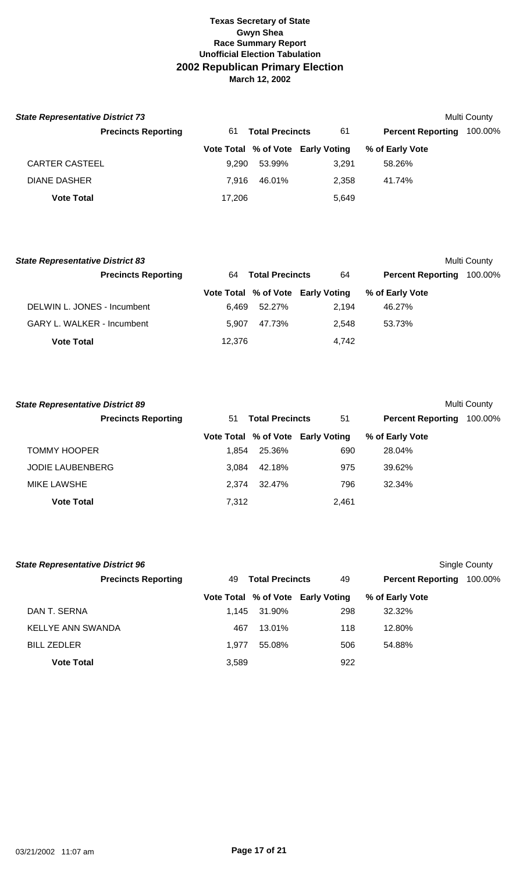| <b>State Representative District 73</b> |        |                        |                                   |                          | Multi County |
|-----------------------------------------|--------|------------------------|-----------------------------------|--------------------------|--------------|
| <b>Precincts Reporting</b>              | 61     | <b>Total Precincts</b> | 61                                | <b>Percent Reporting</b> | 100.00%      |
|                                         |        |                        | Vote Total % of Vote Early Voting | % of Early Vote          |              |
| <b>CARTER CASTEEL</b>                   | 9.290  | 53.99%                 | 3.291                             | 58.26%                   |              |
| <b>DIANE DASHER</b>                     | 7.916  | 46.01%                 | 2.358                             | 41.74%                   |              |
| <b>Vote Total</b>                       | 17,206 |                        | 5,649                             |                          |              |

| <b>State Representative District 83</b> |        |                        |                                   |                          | Multi County |
|-----------------------------------------|--------|------------------------|-----------------------------------|--------------------------|--------------|
| <b>Precincts Reporting</b>              | 64     | <b>Total Precincts</b> | 64                                | <b>Percent Reporting</b> | 100.00%      |
|                                         |        |                        | Vote Total % of Vote Early Voting | % of Early Vote          |              |
| DELWIN L. JONES - Incumbent             | 6.469  | 52.27%                 | 2.194                             | 46.27%                   |              |
| <b>GARY L. WALKER - Incumbent</b>       | 5.907  | 47.73%                 | 2.548                             | 53.73%                   |              |
| <b>Vote Total</b>                       | 12,376 |                        | 4,742                             |                          |              |

| <b>State Representative District 89</b> |       |                        |                                   |                          | <b>Multi County</b> |
|-----------------------------------------|-------|------------------------|-----------------------------------|--------------------------|---------------------|
| <b>Precincts Reporting</b>              | 51    | <b>Total Precincts</b> | 51                                | <b>Percent Reporting</b> | 100.00%             |
|                                         |       |                        | Vote Total % of Vote Early Voting | % of Early Vote          |                     |
| <b>TOMMY HOOPER</b>                     | 1.854 | 25.36%                 | 690                               | 28.04%                   |                     |
| <b>JODIE LAUBENBERG</b>                 | 3.084 | 42.18%                 | 975                               | 39.62%                   |                     |
| <b>MIKE LAWSHE</b>                      | 2.374 | 32.47%                 | 796                               | 32.34%                   |                     |
| <b>Vote Total</b>                       | 7,312 |                        | 2,461                             |                          |                     |

| <b>State Representative District 96</b> |                            |       |                        |                                   |                          | Single County |
|-----------------------------------------|----------------------------|-------|------------------------|-----------------------------------|--------------------------|---------------|
|                                         | <b>Precincts Reporting</b> | 49    | <b>Total Precincts</b> | 49                                | <b>Percent Reporting</b> | 100.00%       |
|                                         |                            |       |                        | Vote Total % of Vote Early Voting | % of Early Vote          |               |
| DAN T. SERNA                            |                            | 1.145 | 31.90%                 | 298                               | 32.32%                   |               |
| KELLYE ANN SWANDA                       |                            | 467   | 13.01%                 | 118                               | 12.80%                   |               |
| <b>BILL ZEDLER</b>                      |                            | 1.977 | 55.08%                 | 506                               | 54.88%                   |               |
| <b>Vote Total</b>                       |                            | 3,589 |                        | 922                               |                          |               |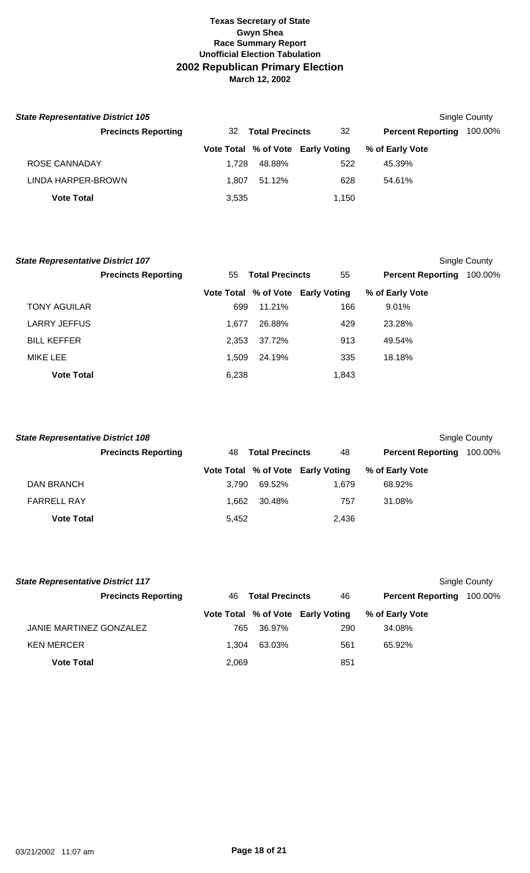| <b>State Representative District 105</b> |       |                        |                                   |                          | Single County |
|------------------------------------------|-------|------------------------|-----------------------------------|--------------------------|---------------|
| <b>Precincts Reporting</b>               | 32    | <b>Total Precincts</b> | 32                                | <b>Percent Reporting</b> | 100.00%       |
|                                          |       |                        | Vote Total % of Vote Early Voting | % of Early Vote          |               |
| ROSE CANNADAY                            | 1.728 | 48.88%                 | 522                               | 45.39%                   |               |
| LINDA HARPER-BROWN                       | 1.807 | 51.12%                 | 628                               | 54.61%                   |               |
| <b>Vote Total</b>                        | 3,535 |                        | 1.150                             |                          |               |

| <b>State Representative District 107</b> |                            |       |                        |                                   |                          | Single County |
|------------------------------------------|----------------------------|-------|------------------------|-----------------------------------|--------------------------|---------------|
|                                          | <b>Precincts Reporting</b> | 55    | <b>Total Precincts</b> | 55                                | <b>Percent Reporting</b> | 100.00%       |
|                                          |                            |       |                        | Vote Total % of Vote Early Voting | % of Early Vote          |               |
| <b>TONY AGUILAR</b>                      |                            | 699   | 11.21%                 | 166                               | $9.01\%$                 |               |
| <b>LARRY JEFFUS</b>                      |                            | 1.677 | 26.88%                 | 429                               | 23.28%                   |               |
| <b>BILL KEFFER</b>                       |                            | 2,353 | 37.72%                 | 913                               | 49.54%                   |               |
| MIKE LEE                                 |                            | 1.509 | 24.19%                 | 335                               | 18.18%                   |               |
| <b>Vote Total</b>                        |                            | 6,238 |                        | 1,843                             |                          |               |

| <b>State Representative District 108</b> |                            |       |                        |                                   |                          | Single County |
|------------------------------------------|----------------------------|-------|------------------------|-----------------------------------|--------------------------|---------------|
|                                          | <b>Precincts Reporting</b> | 48    | <b>Total Precincts</b> | 48                                | <b>Percent Reporting</b> | 100.00%       |
|                                          |                            |       |                        | Vote Total % of Vote Early Voting | % of Early Vote          |               |
| DAN BRANCH                               |                            | 3.790 | 69.52%                 | 1.679                             | 68.92%                   |               |
| <b>FARRELL RAY</b>                       |                            | 1.662 | 30.48%                 | 757                               | 31.08%                   |               |
| <b>Vote Total</b>                        |                            | 5,452 |                        | 2,436                             |                          |               |

| <b>State Representative District 117</b> |       |                        |                                   |                          | Single County |
|------------------------------------------|-------|------------------------|-----------------------------------|--------------------------|---------------|
| <b>Precincts Reporting</b>               | 46.   | <b>Total Precincts</b> | 46                                | <b>Percent Reporting</b> | 100.00%       |
|                                          |       |                        | Vote Total % of Vote Early Voting | % of Early Vote          |               |
| JANIE MARTINEZ GONZALEZ                  | 765   | 36.97%                 | 290                               | 34.08%                   |               |
| <b>KEN MERCER</b>                        | 1.304 | 63.03%                 | 561                               | 65.92%                   |               |
| <b>Vote Total</b>                        | 2,069 |                        | 851                               |                          |               |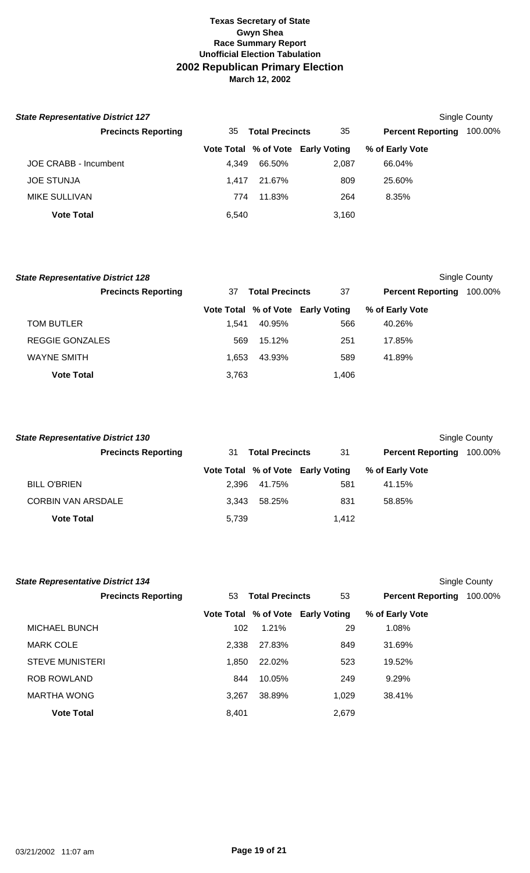| <b>State Representative District 127</b> |                              |        |                                   |                          | Single County |
|------------------------------------------|------------------------------|--------|-----------------------------------|--------------------------|---------------|
| <b>Precincts Reporting</b>               | <b>Total Precincts</b><br>35 |        | 35                                | <b>Percent Reporting</b> | 100.00%       |
|                                          |                              |        | Vote Total % of Vote Early Voting | % of Early Vote          |               |
| JOE CRABB - Incumbent                    | 4.349                        | 66.50% | 2,087                             | 66.04%                   |               |
| <b>JOE STUNJA</b>                        | 1.417                        | 21.67% | 809                               | 25.60%                   |               |
| <b>MIKE SULLIVAN</b>                     | 774                          | 11.83% | 264                               | 8.35%                    |               |
| <b>Vote Total</b>                        | 6,540                        |        | 3,160                             |                          |               |

| <b>State Representative District 128</b> |       |                        |                                   |                          | Single County |
|------------------------------------------|-------|------------------------|-----------------------------------|--------------------------|---------------|
| <b>Precincts Reporting</b>               | 37    | <b>Total Precincts</b> | 37                                | <b>Percent Reporting</b> | 100.00%       |
|                                          |       |                        | Vote Total % of Vote Early Voting | % of Early Vote          |               |
| <b>TOM BUTLER</b>                        | 1.541 | 40.95%                 | 566                               | 40.26%                   |               |
| REGGIE GONZALES                          | 569   | 15.12%                 | 251                               | 17.85%                   |               |
| <b>WAYNE SMITH</b>                       | 1.653 | 43.93%                 | 589                               | 41.89%                   |               |
| <b>Vote Total</b>                        | 3,763 |                        | 1.406                             |                          |               |

| <b>State Representative District 130</b> |                            |                              |        |                                   |                          | Single County |
|------------------------------------------|----------------------------|------------------------------|--------|-----------------------------------|--------------------------|---------------|
|                                          | <b>Precincts Reporting</b> | <b>Total Precincts</b><br>31 |        | 31                                | <b>Percent Reporting</b> | 100.00%       |
|                                          |                            |                              |        | Vote Total % of Vote Early Voting | % of Early Vote          |               |
| <b>BILL O'BRIEN</b>                      |                            | 2.396                        | 41.75% | 581                               | 41.15%                   |               |
| <b>CORBIN VAN ARSDALE</b>                |                            | 3.343                        | 58.25% | 831                               | 58.85%                   |               |
| <b>Vote Total</b>                        |                            | 5,739                        |        | 1.412                             |                          |               |

| <b>State Representative District 134</b> |       |                        |                                   |                          | Single County |
|------------------------------------------|-------|------------------------|-----------------------------------|--------------------------|---------------|
| <b>Precincts Reporting</b>               | 53    | <b>Total Precincts</b> | 53                                | <b>Percent Reporting</b> | 100.00%       |
|                                          |       |                        | Vote Total % of Vote Early Voting | % of Early Vote          |               |
| <b>MICHAEL BUNCH</b>                     | 102   | 1.21%                  | 29                                | 1.08%                    |               |
| <b>MARK COLE</b>                         | 2.338 | 27.83%                 | 849                               | 31.69%                   |               |
| <b>STEVE MUNISTERI</b>                   | 1.850 | 22.02%                 | 523                               | 19.52%                   |               |
| <b>ROB ROWLAND</b>                       | 844   | 10.05%                 | 249                               | 9.29%                    |               |
| <b>MARTHA WONG</b>                       | 3.267 | 38.89%                 | 1.029                             | 38.41%                   |               |
| <b>Vote Total</b>                        | 8,401 |                        | 2,679                             |                          |               |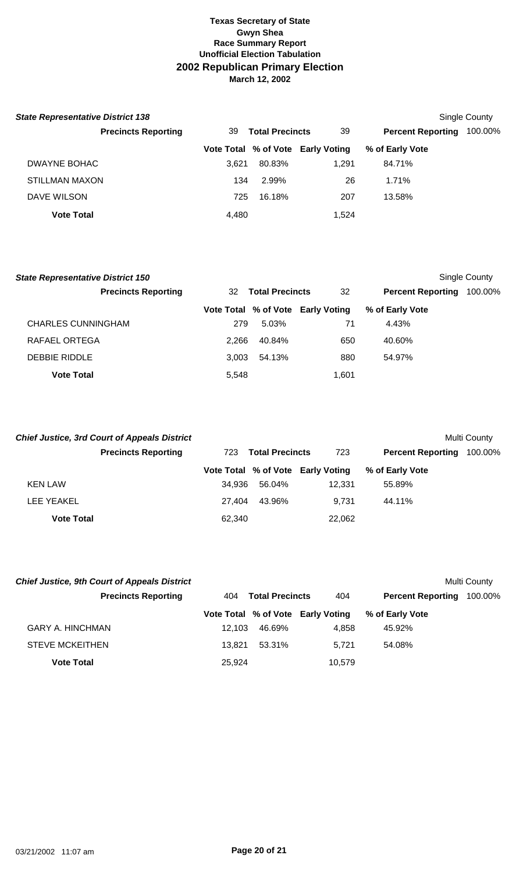| <b>State Representative District 138</b> |                              |        |                                   |                          | <b>Single County</b> |
|------------------------------------------|------------------------------|--------|-----------------------------------|--------------------------|----------------------|
| <b>Precincts Reporting</b>               | <b>Total Precincts</b><br>39 |        | 39                                | <b>Percent Reporting</b> | 100.00%              |
|                                          |                              |        | Vote Total % of Vote Early Voting | % of Early Vote          |                      |
| DWAYNE BOHAC                             | 3.621                        | 80.83% | 1.291                             | 84.71%                   |                      |
| <b>STILLMAN MAXON</b>                    | 134                          | 2.99%  | 26                                | 1.71%                    |                      |
| DAVE WILSON                              | 725                          | 16.18% | 207                               | 13.58%                   |                      |
| <b>Vote Total</b>                        | 4,480                        |        | 1.524                             |                          |                      |

| <b>State Representative District 150</b> |       |                        |                                   |                          | Single County |
|------------------------------------------|-------|------------------------|-----------------------------------|--------------------------|---------------|
| <b>Precincts Reporting</b>               | 32    | <b>Total Precincts</b> | 32                                | <b>Percent Reporting</b> | 100.00%       |
|                                          |       |                        | Vote Total % of Vote Early Voting | % of Early Vote          |               |
| <b>CHARLES CUNNINGHAM</b>                | 279   | 5.03%                  | 71                                | 4.43%                    |               |
| RAFAEL ORTEGA                            | 2.266 | 40.84%                 | 650                               | 40.60%                   |               |
| <b>DEBBIE RIDDLE</b>                     | 3.003 | 54.13%                 | 880                               | 54.97%                   |               |
| <b>Vote Total</b>                        | 5,548 |                        | 1.601                             |                          |               |

|                   | <b>Chief Justice, 3rd Court of Appeals District</b> |                               |        |                                   |                          | Multi County |
|-------------------|-----------------------------------------------------|-------------------------------|--------|-----------------------------------|--------------------------|--------------|
|                   | <b>Precincts Reporting</b>                          | <b>Total Precincts</b><br>723 |        | 723                               | <b>Percent Reporting</b> | 100.00%      |
|                   |                                                     |                               |        | Vote Total % of Vote Early Voting | % of Early Vote          |              |
| <b>KEN LAW</b>    |                                                     | 34.936                        | 56.04% | 12.331                            | 55.89%                   |              |
| LEE YEAKEL        |                                                     | 27.404                        | 43.96% | 9.731                             | 44.11%                   |              |
| <b>Vote Total</b> |                                                     | 62,340                        |        | 22,062                            |                          |              |

| <b>Chief Justice, 9th Court of Appeals District</b> |        |                        |                                   |                          | <b>Multi County</b> |  |
|-----------------------------------------------------|--------|------------------------|-----------------------------------|--------------------------|---------------------|--|
| <b>Precincts Reporting</b>                          | 404    | <b>Total Precincts</b> | 404                               | <b>Percent Reporting</b> | 100.00%             |  |
|                                                     |        |                        | Vote Total % of Vote Early Voting | % of Early Vote          |                     |  |
| <b>GARY A. HINCHMAN</b>                             | 12.103 | 46.69%                 | 4.858                             | 45.92%                   |                     |  |
| <b>STEVE MCKEITHEN</b>                              | 13.821 | 53.31%                 | 5.721                             | 54.08%                   |                     |  |
| <b>Vote Total</b>                                   | 25.924 |                        | 10.579                            |                          |                     |  |